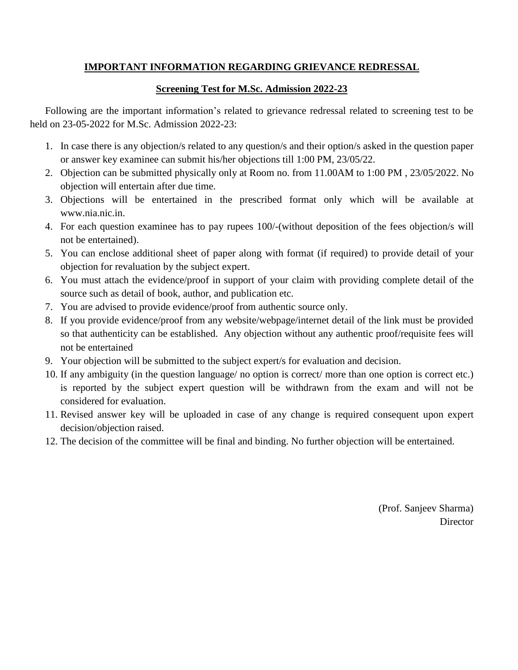### **IMPORTANT INFORMATION REGARDING GRIEVANCE REDRESSAL**

### **Screening Test for M.Sc. Admission 2022-23**

Following are the important information's related to grievance redressal related to screening test to be held on 23-05-2022 for M.Sc. Admission 2022-23:

- 1. In case there is any objection/s related to any question/s and their option/s asked in the question paper or answer key examinee can submit his/her objections till 1:00 PM, 23/05/22.
- 2. Objection can be submitted physically only at Room no. from 11.00AM to 1:00 PM , 23/05/2022. No objection will entertain after due time.
- 3. Objections will be entertained in the prescribed format only which will be available at www.nia.nic.in.
- 4. For each question examinee has to pay rupees 100/-(without deposition of the fees objection/s will not be entertained).
- 5. You can enclose additional sheet of paper along with format (if required) to provide detail of your objection for revaluation by the subject expert.
- 6. You must attach the evidence/proof in support of your claim with providing complete detail of the source such as detail of book, author, and publication etc.
- 7. You are advised to provide evidence/proof from authentic source only.
- 8. If you provide evidence/proof from any website/webpage/internet detail of the link must be provided so that authenticity can be established. Any objection without any authentic proof/requisite fees will not be entertained
- 9. Your objection will be submitted to the subject expert/s for evaluation and decision.
- 10. If any ambiguity (in the question language/ no option is correct/ more than one option is correct etc.) is reported by the subject expert question will be withdrawn from the exam and will not be considered for evaluation.
- 11. Revised answer key will be uploaded in case of any change is required consequent upon expert decision/objection raised.
- 12. The decision of the committee will be final and binding. No further objection will be entertained.

(Prof. Sanjeev Sharma) **Director**